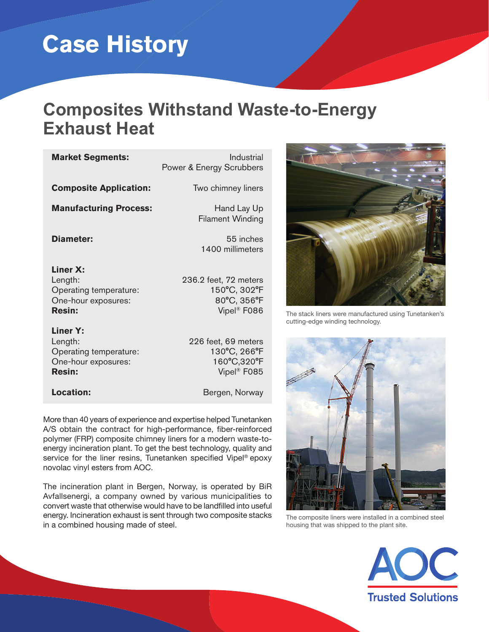# **Case History**

# **Composites Withstand Waste-to-Energy Exhaust Heat**

| <b>Market Segments:</b>                                                               | Industrial<br>Power & Energy Scrubbers                                          |
|---------------------------------------------------------------------------------------|---------------------------------------------------------------------------------|
| <b>Composite Application:</b>                                                         | Two chimney liners                                                              |
| <b>Manufacturing Process:</b>                                                         | Hand Lay Up<br><b>Filament Winding</b>                                          |
| Diameter:                                                                             | 55 inches<br>1400 millimeters                                                   |
| Liner X:<br>Length:<br>Operating temperature:<br>One-hour exposures:<br><b>Resin:</b> | 236.2 feet, 72 meters<br>150°C, 302°F<br>80°C, 356°F<br>Vipel <sup>®</sup> F086 |
| Liner Y:<br>Length:<br>Operating temperature:<br>One-hour exposures:<br><b>Resin:</b> | 226 feet, 69 meters<br>130°C, 266°F<br>160°C,320°F<br>Vipel <sup>®</sup> F085   |
| Location:                                                                             | Bergen, Norway                                                                  |

More than 40 years of experience and expertise helped Tunetanken A/S obtain the contract for high-performance, fiber-reinforced polymer (FRP) composite chimney liners for a modern waste-toenergy incineration plant. To get the best technology, quality and service for the liner resins, Tunetanken specified Vipel® epoxy novolac vinyl esters from AOC.

The incineration plant in Bergen, Norway, is operated by BiR Avfallsenergi, a company owned by various municipalities to convert waste that otherwise would have to be landfilled into useful energy. Incineration exhaust is sent through two composite stacks in a combined housing made of steel.



The stack liners were manufactured using Tunetanken's cutting-edge winding technology.



The composite liners were installed in a combined steel housing that was shipped to the plant site.